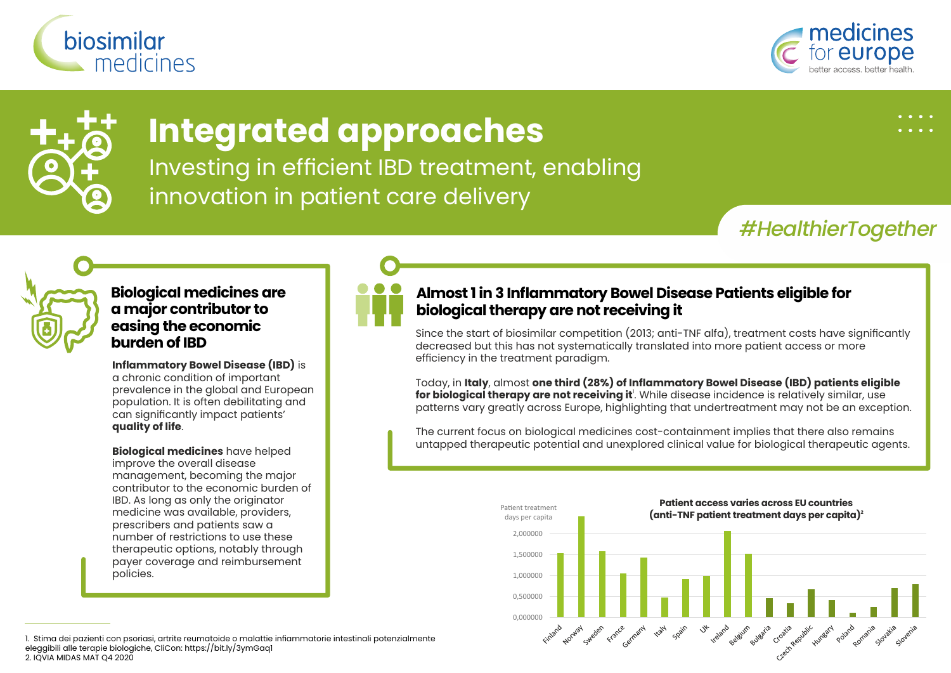





# **Integrated approaches**

Investing in efficient IBD treatment, enabling innovation in patient care delivery

*#HealthierTogether*



**Biological medicines are a major contributor to easing the economic burden of IBD**

**Inflammatory Bowel Disease (IBD)** is a chronic condition of important prevalence in the global and European population. It is often debilitating and can significantly impact patients' **quality of life**.

**Biological medicines** have helped improve the overall disease management, becoming the major contributor to the economic burden of IBD. As long as only the originator medicine was available, providers, prescribers and patients saw a number of restrictions to use these therapeutic options, notably through payer coverage and reimbursement policies.



### **Almost 1 in 3 Inflammatory Bowel Disease Patients eligible for biological therapy are not receiving it**

Since the start of biosimilar competition (2013; anti-TNF alfa), treatment costs have significantly decreased but this has not systematically translated into more patient access or more efficiency in the treatment paradigm.

Today, in **Italy**, almost **one third (28%) of Inflammatory Bowel Disease (IBD) patients eligible for biological therapy are not receiving it**'. While disease incidence is relatively similar, use patterns vary greatly across Europe, highlighting that undertreatment may not be an exception.

The current focus on biological medicines cost-containment implies that there also remains untapped therapeutic potential and unexplored clinical value for biological therapeutic agents.



1. Stima dei pazienti con psoriasi, artrite reumatoide o malattie infiammatorie intestinali potenzialmente eleggibili alle terapie biologiche, CliCon: https://bit.ly/3ymGaq1 2. IQVIA MIDAS MAT Q4 2020